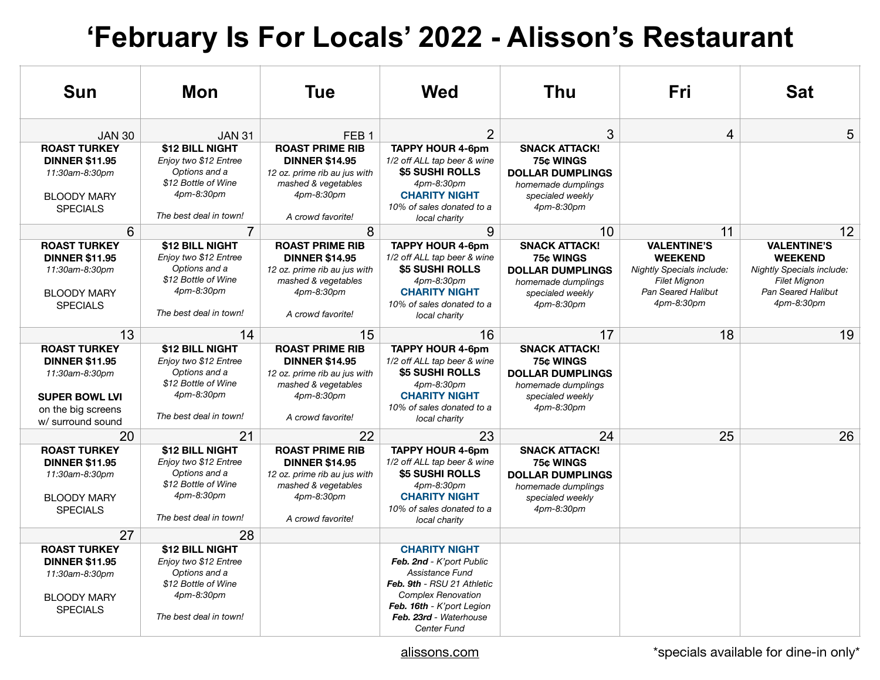## **'February Is For Locals' 2022 - Alisson's Restaurant**

| <b>Sun</b>                                                                                                                         | Mon                                                                                                                      | <b>Tue</b>                                                                                                                                | Wed                                                                                                                                                                                                  | Thu                                                                                                                         | Fri                                                                                                                                 | Sat                                                                                                                                 |
|------------------------------------------------------------------------------------------------------------------------------------|--------------------------------------------------------------------------------------------------------------------------|-------------------------------------------------------------------------------------------------------------------------------------------|------------------------------------------------------------------------------------------------------------------------------------------------------------------------------------------------------|-----------------------------------------------------------------------------------------------------------------------------|-------------------------------------------------------------------------------------------------------------------------------------|-------------------------------------------------------------------------------------------------------------------------------------|
| <b>JAN 30</b>                                                                                                                      | <b>JAN 31</b>                                                                                                            | FFB <sub>1</sub>                                                                                                                          | $\overline{2}$                                                                                                                                                                                       | 3                                                                                                                           | 4                                                                                                                                   | 5                                                                                                                                   |
| <b>ROAST TURKEY</b><br><b>DINNER \$11.95</b><br>11:30am-8:30pm<br><b>BLOODY MARY</b><br><b>SPECIALS</b>                            | \$12 BILL NIGHT<br>Enjoy two \$12 Entree<br>Options and a<br>\$12 Bottle of Wine<br>4pm-8:30pm<br>The best deal in town! | <b>ROAST PRIME RIB</b><br><b>DINNER \$14.95</b><br>12 oz. prime rib au jus with<br>mashed & vegetables<br>4pm-8:30pm<br>A crowd favorite! | <b>TAPPY HOUR 4-6pm</b><br>1/2 off ALL tap beer & wine<br>\$5 SUSHI ROLLS<br>4pm-8:30pm<br><b>CHARITY NIGHT</b><br>10% of sales donated to a<br>local charity                                        | <b>SNACK ATTACK!</b><br><b>75¢ WINGS</b><br><b>DOLLAR DUMPLINGS</b><br>homemade dumplings<br>specialed weekly<br>4pm-8:30pm |                                                                                                                                     |                                                                                                                                     |
| 6                                                                                                                                  | $\overline{7}$                                                                                                           | 8                                                                                                                                         | 9                                                                                                                                                                                                    | 10                                                                                                                          | 11                                                                                                                                  | 12                                                                                                                                  |
| <b>ROAST TURKEY</b><br><b>DINNER \$11.95</b><br>11:30am-8:30pm<br><b>BLOODY MARY</b><br><b>SPECIALS</b>                            | \$12 BILL NIGHT<br>Enjoy two \$12 Entree<br>Options and a<br>\$12 Bottle of Wine<br>4pm-8:30pm<br>The best deal in town! | <b>ROAST PRIME RIB</b><br><b>DINNER \$14.95</b><br>12 oz. prime rib au jus with<br>mashed & vegetables<br>4pm-8:30pm<br>A crowd favorite! | <b>TAPPY HOUR 4-6pm</b><br>1/2 off ALL tap beer & wine<br>\$5 SUSHI ROLLS<br>4pm-8:30pm<br><b>CHARITY NIGHT</b><br>10% of sales donated to a<br>local charity                                        | <b>SNACK ATTACK!</b><br>75¢ WINGS<br><b>DOLLAR DUMPLINGS</b><br>homemade dumplings<br>specialed weekly<br>4pm-8:30pm        | <b>VALENTINE'S</b><br><b>WEEKEND</b><br><b>Nightly Specials include:</b><br><b>Filet Mignon</b><br>Pan Seared Halibut<br>4pm-8:30pm | <b>VALENTINE'S</b><br><b>WEEKEND</b><br><b>Nightly Specials include:</b><br><b>Filet Mignon</b><br>Pan Seared Halibut<br>4pm-8:30pm |
| 13                                                                                                                                 | 14                                                                                                                       | 15                                                                                                                                        | 16                                                                                                                                                                                                   | 17                                                                                                                          | 18                                                                                                                                  | 19                                                                                                                                  |
| <b>ROAST TURKEY</b><br><b>DINNER \$11.95</b><br>11:30am-8:30pm<br><b>SUPER BOWL LVI</b><br>on the big screens<br>w/ surround sound | \$12 BILL NIGHT<br>Eniov two \$12 Entree<br>Options and a<br>\$12 Bottle of Wine<br>4pm-8:30pm<br>The best deal in town! | <b>ROAST PRIME RIB</b><br><b>DINNER \$14.95</b><br>12 oz. prime rib au jus with<br>mashed & vegetables<br>4pm-8:30pm<br>A crowd favorite! | <b>TAPPY HOUR 4-6pm</b><br>1/2 off ALL tap beer & wine<br>\$5 SUSHI ROLLS<br>4pm-8:30pm<br><b>CHARITY NIGHT</b><br>10% of sales donated to a<br>local charity                                        | <b>SNACK ATTACK!</b><br>75¢ WINGS<br><b>DOLLAR DUMPLINGS</b><br>homemade dumplings<br>specialed weekly<br>4pm-8:30pm        |                                                                                                                                     |                                                                                                                                     |
| 20                                                                                                                                 | 21                                                                                                                       | 22                                                                                                                                        | 23                                                                                                                                                                                                   | 24                                                                                                                          | 25                                                                                                                                  | 26                                                                                                                                  |
| <b>ROAST TURKEY</b><br><b>DINNER \$11.95</b><br>11:30am-8:30pm<br><b>BLOODY MARY</b><br><b>SPECIALS</b>                            | \$12 BILL NIGHT<br>Enjoy two \$12 Entree<br>Options and a<br>\$12 Bottle of Wine<br>4pm-8:30pm<br>The best deal in town! | <b>ROAST PRIME RIB</b><br><b>DINNER \$14.95</b><br>12 oz. prime rib au jus with<br>mashed & vegetables<br>4pm-8:30pm<br>A crowd favorite! | <b>TAPPY HOUR 4-6pm</b><br>1/2 off ALL tap beer & wine<br>\$5 SUSHI ROLLS<br>4pm-8:30pm<br><b>CHARITY NIGHT</b><br>10% of sales donated to a<br>local charity                                        | <b>SNACK ATTACK!</b><br>75¢ WINGS<br><b>DOLLAR DUMPLINGS</b><br>homemade dumplings<br>specialed weekly<br>4pm-8:30pm        |                                                                                                                                     |                                                                                                                                     |
| 27                                                                                                                                 | 28                                                                                                                       |                                                                                                                                           |                                                                                                                                                                                                      |                                                                                                                             |                                                                                                                                     |                                                                                                                                     |
| <b>ROAST TURKEY</b><br><b>DINNER \$11.95</b><br>11:30am-8:30pm<br><b>BLOODY MARY</b><br><b>SPECIALS</b>                            | \$12 BILL NIGHT<br>Enjoy two \$12 Entree<br>Options and a<br>\$12 Bottle of Wine<br>4pm-8:30pm<br>The best deal in town! |                                                                                                                                           | <b>CHARITY NIGHT</b><br>Feb. 2nd - K'port Public<br>Assistance Fund<br>Feb. 9th - RSU 21 Athletic<br><b>Complex Renovation</b><br>Feb. 16th - K'port Legion<br>Feb. 23rd - Waterhouse<br>Center Fund |                                                                                                                             |                                                                                                                                     |                                                                                                                                     |